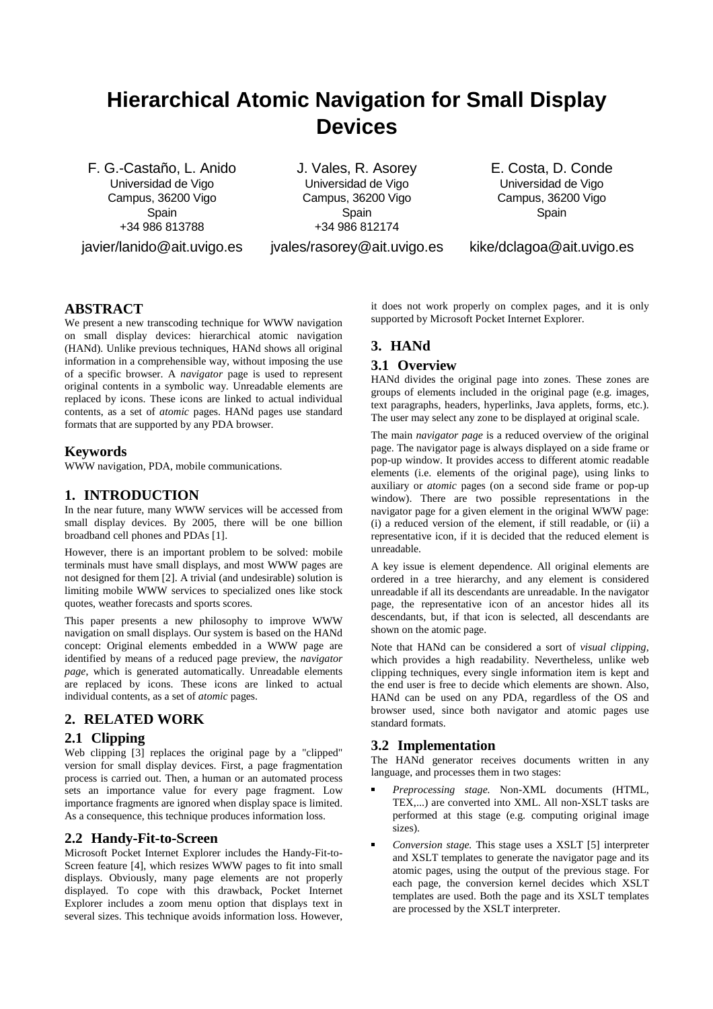# **Hierarchical Atomic Navigation for Small Display Devices**

F. G.-Castaño, L. Anido Universidad de Vigo Campus, 36200 Vigo **Spain** +34 986 813788 javier/lanido@ait.uvigo.es

J. Vales, R. Asorey Universidad de Vigo Campus, 36200 Vigo **Spain** +34 986 812174 jvales/rasorey@ait.uvigo.es E. Costa, D. Conde Universidad de Vigo Campus, 36200 Vigo Spain

kike/dclagoa@ait.uvigo.es

# **ABSTRACT**

We present a new transcoding technique for WWW navigation on small display devices: hierarchical atomic navigation (HANd). Unlike previous techniques, HANd shows all original information in a comprehensible way, without imposing the use of a specific browser. A *navigator* page is used to represent original contents in a symbolic way. Unreadable elements are replaced by icons. These icons are linked to actual individual contents, as a set of *atomic* pages. HANd pages use standard formats that are supported by any PDA browser.

## **Keywords**

WWW navigation, PDA, mobile communications.

# **1. INTRODUCTION**

In the near future, many WWW services will be accessed from small display devices. By 2005, there will be one billion broadband cell phones and PDAs [1].

However, there is an important problem to be solved: mobile terminals must have small displays, and most WWW pages are not designed for them [2]. A trivial (and undesirable) solution is limiting mobile WWW services to specialized ones like stock quotes, weather forecasts and sports scores.

This paper presents a new philosophy to improve WWW navigation on small displays. Our system is based on the HANd concept: Original elements embedded in a WWW page are identified by means of a reduced page preview, the *navigator page*, which is generated automatically. Unreadable elements are replaced by icons. These icons are linked to actual individual contents, as a set of *atomic* pages.

### **2. RELATED WORK**

# **2.1 Clipping**

Web clipping [3] replaces the original page by a "clipped" version for small display devices. First, a page fragmentation process is carried out. Then, a human or an automated process sets an importance value for every page fragment. Low importance fragments are ignored when display space is limited. As a consequence, this technique produces information loss.

### **2.2 Handy-Fit-to-Screen**

Microsoft Pocket Internet Explorer includes the Handy-Fit-to-Screen feature [4], which resizes WWW pages to fit into small displays. Obviously, many page elements are not properly displayed. To cope with this drawback, Pocket Internet Explorer includes a zoom menu option that displays text in several sizes. This technique avoids information loss. However, it does not work properly on complex pages, and it is only supported by Microsoft Pocket Internet Explorer.

# **3. HANd**

### **3.1 Overview**

HANd divides the original page into zones. These zones are groups of elements included in the original page (e.g. images, text paragraphs, headers, hyperlinks, Java applets, forms, etc.). The user may select any zone to be displayed at original scale.

The main *navigator page* is a reduced overview of the original page. The navigator page is always displayed on a side frame or pop-up window. It provides access to different atomic readable elements (i.e. elements of the original page), using links to auxiliary or *atomic* pages (on a second side frame or pop-up window). There are two possible representations in the navigator page for a given element in the original WWW page: (i) a reduced version of the element, if still readable, or (ii) a representative icon, if it is decided that the reduced element is unreadable.

A key issue is element dependence. All original elements are ordered in a tree hierarchy, and any element is considered unreadable if all its descendants are unreadable. In the navigator page, the representative icon of an ancestor hides all its descendants, but, if that icon is selected, all descendants are shown on the atomic page.

Note that HANd can be considered a sort of *visual clipping*, which provides a high readability. Nevertheless, unlike web clipping techniques, every single information item is kept and the end user is free to decide which elements are shown. Also, HANd can be used on any PDA, regardless of the OS and browser used, since both navigator and atomic pages use standard formats.

# **3.2 Implementation**

The HANd generator receives documents written in any language, and processes them in two stages:

- *Preprocessing stage.* Non-XML documents (HTML, TEX,...) are converted into XML. All non-XSLT tasks are performed at this stage (e.g. computing original image sizes).
- *Conversion stage.* This stage uses a XSLT [5] interpreter and XSLT templates to generate the navigator page and its atomic pages, using the output of the previous stage. For each page, the conversion kernel decides which XSLT templates are used. Both the page and its XSLT templates are processed by the XSLT interpreter.